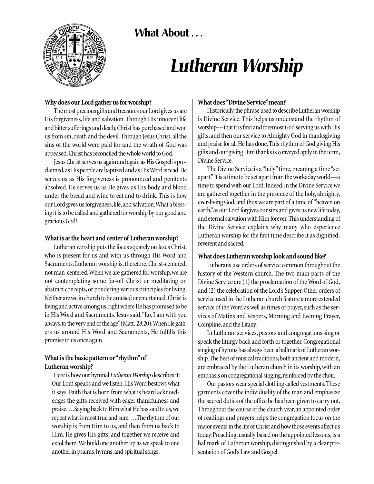**What About . . .** 



# *Lutheran Worship*

# **Why does our Lord gather us for worship?**

The most precious gifts and treasures our Lord gives us are His forgiveness, life and salvation. Through His innocent life and bitter sufferings and death,Christ has purchased and won us from sin, death and the devil. Through Jesus Christ, all the sins of the world were paid for and the wrath of God was appeased.Christ has reconciled the whole world to God.

Jesus Christ serves us again and again as His Gospel is proclaimed,as His people are baptized and as His Word is read.He serves us as His forgiveness is pronounced and penitents absolved. He serves us as He gives us His body and blood under the bread and wine to eat and to drink. This is how our Lord gives us forgiveness,life,and salvation.What a blessing it is to be called and gathered for worship by our good and gracious God!

## **What is at the heart and center of Lutheran worship?**

Lutheran worship puts the focus squarely on Jesus Christ, who is present for us and with us through His Word and Sacraments. Lutheran worship is, therefore, Christ-centered, not man-centered. When we are gathered for worship, we are not contemplating some far-off Christ or meditating on abstract concepts, or pondering various principles for living. Neither are we in church to be amused or entertained. Christ is living and active among us,right where He has promised to be in His Word and Sacraments. Jesus said,"Lo, I am with you always,to the very end of the age"(Matt. 28:20).When He gathers us around His Word and Sacraments, He fulfills this promise to us once again.

# **What is the basic pattern or "rhythm"of Lutheran worship?**

Here is how our hymnal *Lutheran Worship* describes it: Our Lord speaks and we listen. His Word bestows what it says. Faith that is born from what is heard acknowledges the gifts received with eager thankfulness and praise. ...Saying back to Him what He has said to us,we repeat what is most true and sure. ...The rhythm of our worship is from Him to us, and then from us back to Him. He gives His gifts, and together we receive and extol them.We build one another up as we speak to one another in psalms, hymns, and spiritual songs.

## **What does "Divine Service"mean?**

Historically,the phrase used to describe Lutheran worship is Divine Service. This helps us understand the rhythm of worship—that it is first and foremost God serving us with His gifts, and then our service to Almighty God in thanksgiving and praise for all He has done.This rhythm of God giving His gifts and our giving Him thanks is conveyed aptly in the term, Divine Service.

The Divine Service is a "holy"time, meaning a time "set apart."It is a time to be set apart from the workaday world—a time to spend with our Lord. Indeed, in the Divine Service we are gathered together in the presence of the holy, almighty, ever-living God,and thus we are part of a time of "heaven on earth," as our Lord forgives our sins and gives us new life today, and eternal salvation with Him forever. This understanding of the Divine Service explains why many who experience Lutheran worship for the first time describe it as dignified, reverent and sacred.

# **What does Lutheran worship look and sound like?**

Lutherans use orders of service common throughout the history of the Western church. The two main parts of the Divine Service are (1) the proclamation of the Word of God, and (2) the celebration of the Lord's Supper. Other orders of service used in the Lutheran church feature a more extended service of the Word as well as times of prayer, such as the services of Matins and Vespers, Morning and Evening Prayer, Compline,and the Litany.

In Lutheran services, pastors and congregations sing or speak the liturgy back and forth or together. Congregational singing of hymns has always been a hallmark of Lutheran worship. The best of musical traditions, both ancient and modern, are embraced by the Lutheran church in its worship, with an emphasis on congregational singing, reinforced by the choir.

Our pastors wear special clothing called vestments.These garments cover the individuality of the man and emphasize the sacred duties of the office he has been given to carry out. Throughout the course of the church year, an appointed order of readings and prayers helps the congregation focus on the major events in the life of Christ and how those events affect us today. Preaching, usually based on the appointed lessons, is a hallmark of Lutheran worship, distinguished by a clear presentation of God's Law and Gospel.